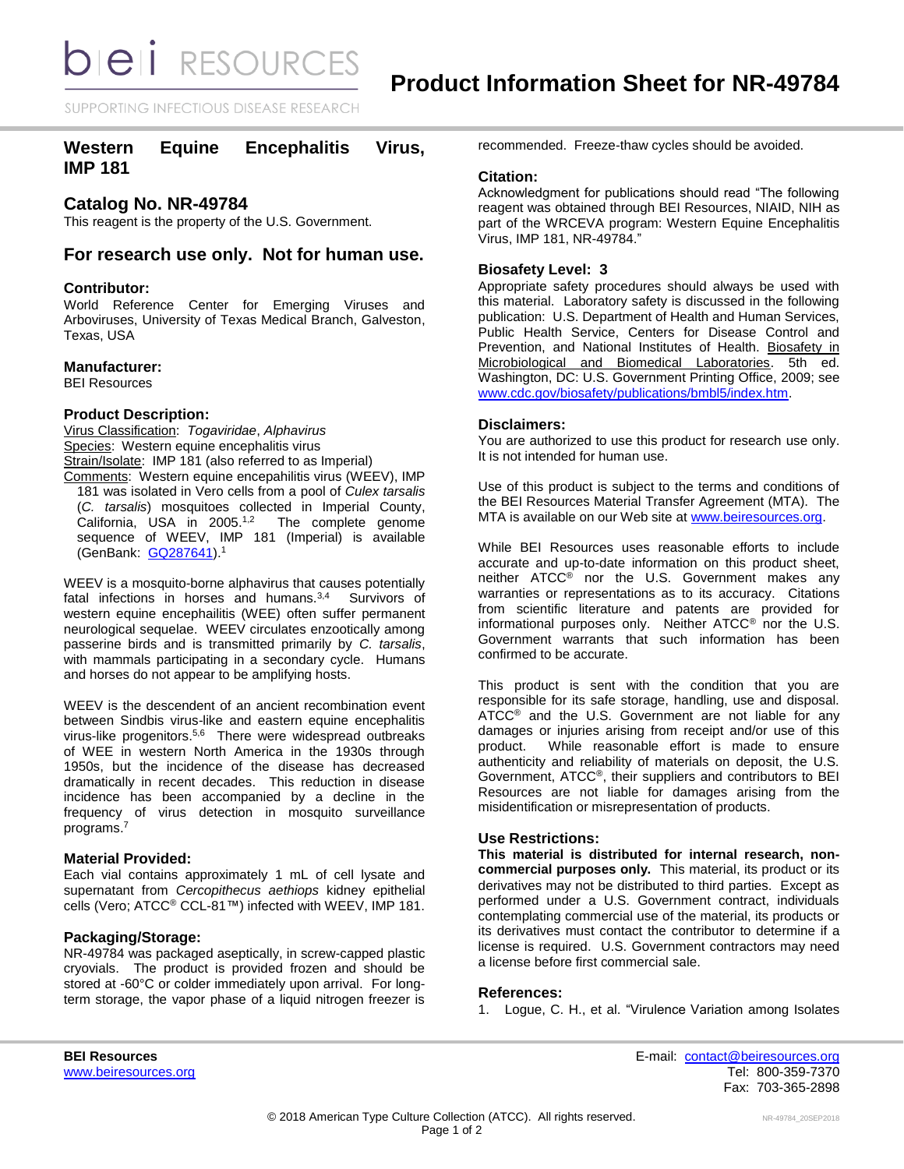**bieli** RESOURCES

SUPPORTING INFECTIOUS DISEASE RESEARCH

# **Western Equine Encephalitis Virus, IMP 181**

# **Catalog No. NR-49784**

This reagent is the property of the U.S. Government.

# **For research use only. Not for human use.**

### **Contributor:**

World Reference Center for Emerging Viruses and Arboviruses, University of Texas Medical Branch, Galveston, Texas, USA

### **Manufacturer:**

BEI Resources

### **Product Description:**

Virus Classification: *Togaviridae*, *Alphavirus* Species: Western equine encephalitis virus Strain/Isolate: IMP 181 (also referred to as Imperial) Comments: Western equine encepahilitis virus (WEEV), IMP 181 was isolated in Vero cells from a pool of *Culex tarsalis* (*C. tarsalis*) mosquitoes collected in Imperial County, California, USA in 2005.<sup>1,2</sup> The complete genome sequence of WEEV, IMP 181 (Imperial) is available

(GenBank: [GQ287641\)](http://www.ncbi.nlm.nih.gov/nuccore/GQ287641).<sup>1</sup>

WEEV is a mosquito-borne alphavirus that causes potentially fatal infections in horses and humans.3,4 Survivors of western equine encephailitis (WEE) often suffer permanent neurological sequelae. WEEV circulates enzootically among passerine birds and is transmitted primarily by *C. tarsalis*, with mammals participating in a secondary cycle. Humans and horses do not appear to be amplifying hosts.

WEEV is the descendent of an ancient recombination event between Sindbis virus-like and eastern equine encephalitis virus-like progenitors.<sup>5,6</sup> There were widespread outbreaks of WEE in western North America in the 1930s through 1950s, but the incidence of the disease has decreased dramatically in recent decades. This reduction in disease incidence has been accompanied by a decline in the frequency of virus detection in mosquito surveillance programs. 7

### **Material Provided:**

Each vial contains approximately 1 mL of cell lysate and supernatant from *Cercopithecus aethiops* kidney epithelial cells (Vero; ATCC® CCL-81™) infected with WEEV, IMP 181.

# **Packaging/Storage:**

NR-49784 was packaged aseptically, in screw-capped plastic cryovials. The product is provided frozen and should be stored at -60°C or colder immediately upon arrival. For longterm storage, the vapor phase of a liquid nitrogen freezer is

recommended. Freeze-thaw cycles should be avoided.

### **Citation:**

Acknowledgment for publications should read "The following reagent was obtained through BEI Resources, NIAID, NIH as part of the WRCEVA program: Western Equine Encephalitis Virus, IMP 181, NR-49784."

# **Biosafety Level: 3**

Appropriate safety procedures should always be used with this material. Laboratory safety is discussed in the following publication: U.S. Department of Health and Human Services, Public Health Service, Centers for Disease Control and Prevention, and National Institutes of Health. Biosafety in Microbiological and Biomedical Laboratories. 5th ed. Washington, DC: U.S. Government Printing Office, 2009; see [www.cdc.gov/biosafety/publications/bmbl5/index.htm.](http://www.cdc.gov/biosafety/publications/bmbl5/index.htm)

### **Disclaimers:**

You are authorized to use this product for research use only. It is not intended for human use.

Use of this product is subject to the terms and conditions of the BEI Resources Material Transfer Agreement (MTA). The MTA is available on our Web site at [www.beiresources.org.](http://www.beiresources.org/)

While BEI Resources uses reasonable efforts to include accurate and up-to-date information on this product sheet, neither ATCC® nor the U.S. Government makes any warranties or representations as to its accuracy. Citations from scientific literature and patents are provided for informational purposes only. Neither ATCC® nor the U.S. Government warrants that such information has been confirmed to be accurate.

This product is sent with the condition that you are responsible for its safe storage, handling, use and disposal. ATCC<sup>®</sup> and the U.S. Government are not liable for any damages or injuries arising from receipt and/or use of this product. While reasonable effort is made to ensure authenticity and reliability of materials on deposit, the U.S. Government, ATCC®, their suppliers and contributors to BEI Resources are not liable for damages arising from the misidentification or misrepresentation of products.

# **Use Restrictions:**

**This material is distributed for internal research, noncommercial purposes only.** This material, its product or its derivatives may not be distributed to third parties. Except as performed under a U.S. Government contract, individuals contemplating commercial use of the material, its products or its derivatives must contact the contributor to determine if a license is required. U.S. Government contractors may need a license before first commercial sale.

#### **References:**

1. Logue, C. H., et al. "Virulence Variation among Isolates

**BEI Resources** E-mail: [contact@beiresources.org](mailto:contact@beiresources.org) [www.beiresources.org](http://www.beiresources.org/) **Tel: 800-359-7370** Fax: 703-365-2898